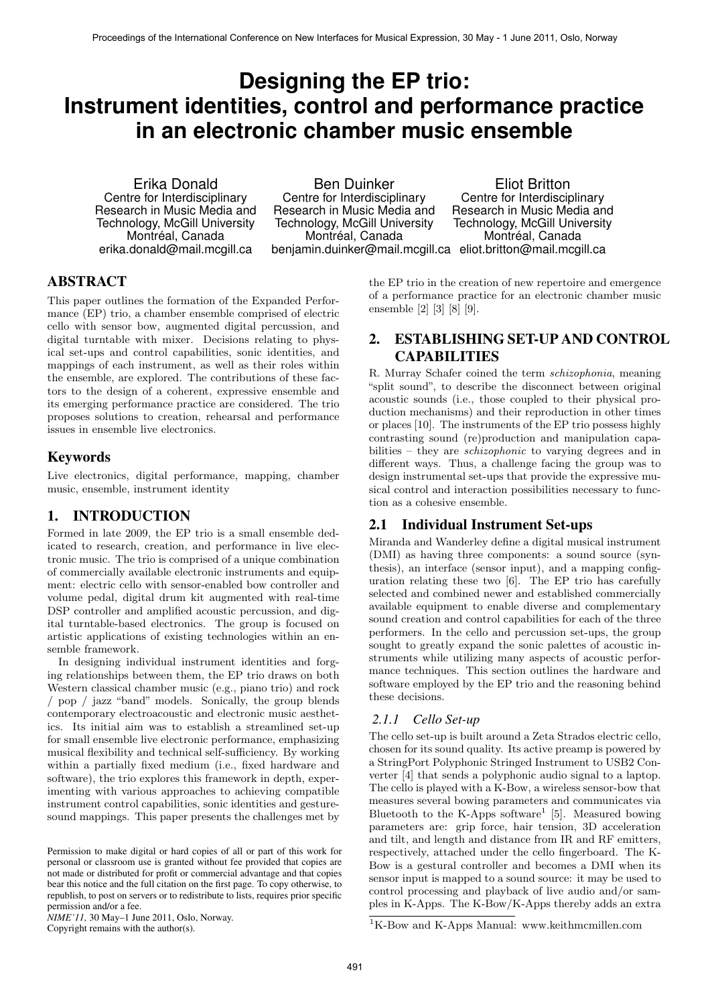# **Designing the EP trio: Instrument identities, control and performance practice in an electronic chamber music ensemble**

Erika Donald Centre for Interdisciplinary Research in Music Media and Technology, McGill University Montréal, Canada erika.donald@mail.mcgill.ca

Ben Duinker Centre for Interdisciplinary Research in Music Media and Technology, McGill University Montréal, Canada

benjamin.duinker@mail.mcgill.ca eliot.britton@mail.mcgill.ca Eliot Britton Centre for Interdisciplinary Research in Music Media and Technology, McGill University Montréal, Canada

# ABSTRACT

This paper outlines the formation of the Expanded Performance (EP) trio, a chamber ensemble comprised of electric cello with sensor bow, augmented digital percussion, and digital turntable with mixer. Decisions relating to physical set-ups and control capabilities, sonic identities, and mappings of each instrument, as well as their roles within the ensemble, are explored. The contributions of these factors to the design of a coherent, expressive ensemble and its emerging performance practice are considered. The trio proposes solutions to creation, rehearsal and performance issues in ensemble live electronics.

## Keywords

Live electronics, digital performance, mapping, chamber music, ensemble, instrument identity

# 1. INTRODUCTION

Formed in late 2009, the EP trio is a small ensemble dedicated to research, creation, and performance in live electronic music. The trio is comprised of a unique combination of commercially available electronic instruments and equipment: electric cello with sensor-enabled bow controller and volume pedal, digital drum kit augmented with real-time DSP controller and amplified acoustic percussion, and digital turntable-based electronics. The group is focused on artistic applications of existing technologies within an ensemble framework.

In designing individual instrument identities and forging relationships between them, the EP trio draws on both Western classical chamber music (e.g., piano trio) and rock / pop / jazz "band" models. Sonically, the group blends contemporary electroacoustic and electronic music aesthetics. Its initial aim was to establish a streamlined set-up for small ensemble live electronic performance, emphasizing musical flexibility and technical self-sufficiency. By working within a partially fixed medium (i.e., fixed hardware and software), the trio explores this framework in depth, experimenting with various approaches to achieving compatible instrument control capabilities, sonic identities and gesturesound mappings. This paper presents the challenges met by

*NIME'11,* 30 May–1 June 2011, Oslo, Norway.

Copyright remains with the author(s).

the EP trio in the creation of new repertoire and emergence of a performance practice for an electronic chamber music ensemble [2] [3] [8] [9].

# 2. ESTABLISHING SET-UP AND CONTROL CAPABILITIES

R. Murray Schafer coined the term *schizophonia*, meaning "split sound", to describe the disconnect between original acoustic sounds (i.e., those coupled to their physical production mechanisms) and their reproduction in other times or places [10]. The instruments of the EP trio possess highly contrasting sound (re)production and manipulation capabilities – they are *schizophonic* to varying degrees and in different ways. Thus, a challenge facing the group was to design instrumental set-ups that provide the expressive musical control and interaction possibilities necessary to function as a cohesive ensemble.

#### 2.1 Individual Instrument Set-ups

Miranda and Wanderley define a digital musical instrument (DMI) as having three components: a sound source (synthesis), an interface (sensor input), and a mapping configuration relating these two [6]. The EP trio has carefully selected and combined newer and established commercially available equipment to enable diverse and complementary sound creation and control capabilities for each of the three performers. In the cello and percussion set-ups, the group sought to greatly expand the sonic palettes of acoustic instruments while utilizing many aspects of acoustic performance techniques. This section outlines the hardware and software employed by the EP trio and the reasoning behind these decisions.

#### *2.1.1 Cello Set-up*

The cello set-up is built around a Zeta Strados electric cello, chosen for its sound quality. Its active preamp is powered by a StringPort Polyphonic Stringed Instrument to USB2 Converter [4] that sends a polyphonic audio signal to a laptop. The cello is played with a K-Bow, a wireless sensor-bow that measures several bowing parameters and communicates via Bluetooth to the K-Apps software<sup>1</sup> [5]. Measured bowing parameters are: grip force, hair tension, 3D acceleration and tilt, and length and distance from IR and RF emitters, respectively, attached under the cello fingerboard. The K-Bow is a gestural controller and becomes a DMI when its sensor input is mapped to a sound source: it may be used to control processing and playback of live audio and/or samples in K-Apps. The K-Bow/K-Apps thereby adds an extra

Permission to make digital or hard copies of all or part of this work for personal or classroom use is granted without fee provided that copies are not made or distributed for profit or commercial advantage and that copies bear this notice and the full citation on the first page. To copy otherwise, to republish, to post on servers or to redistribute to lists, requires prior specific permission and/or a fee.

 ${}^{1}$ K-Bow and K-Apps Manual: www.keithmcmillen.com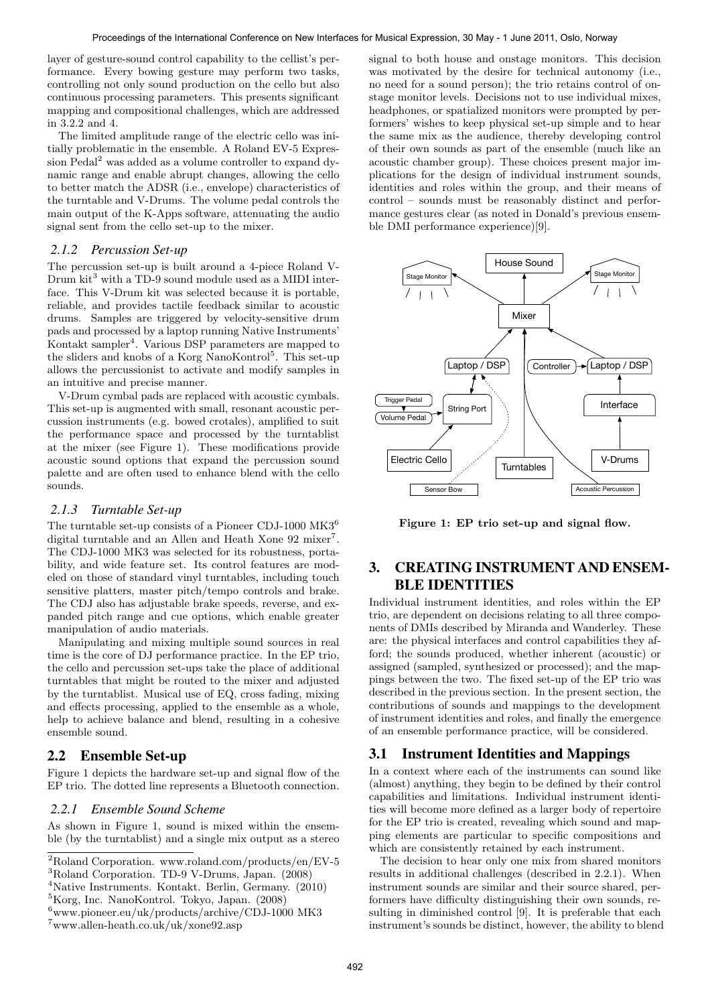layer of gesture-sound control capability to the cellist's performance. Every bowing gesture may perform two tasks, controlling not only sound production on the cello but also continuous processing parameters. This presents significant mapping and compositional challenges, which are addressed in 3.2.2 and 4.

The limited amplitude range of the electric cello was initially problematic in the ensemble. A Roland EV-5 Expression Pedal<sup>2</sup> was added as a volume controller to expand dynamic range and enable abrupt changes, allowing the cello to better match the ADSR (i.e., envelope) characteristics of the turntable and V-Drums. The volume pedal controls the main output of the K-Apps software, attenuating the audio signal sent from the cello set-up to the mixer.

#### *2.1.2 Percussion Set-up*

The percussion set-up is built around a 4-piece Roland V- $\mbox{Drum kit}^3$  with a TD-9 sound module used as a MIDI interface. This V-Drum kit was selected because it is portable, reliable, and provides tactile feedback similar to acoustic drums. Samples are triggered by velocity-sensitive drum pads and processed by a laptop running Native Instruments' Kontakt sampler<sup>4</sup>. Various DSP parameters are mapped to the sliders and knobs of a Korg NanoKontrol<sup>5</sup>. This set-up allows the percussionist to activate and modify samples in an intuitive and precise manner.

V-Drum cymbal pads are replaced with acoustic cymbals. This set-up is augmented with small, resonant acoustic percussion instruments (e.g. bowed crotales), amplified to suit the performance space and processed by the turntablist at the mixer (see Figure 1). These modifications provide acoustic sound options that expand the percussion sound palette and are often used to enhance blend with the cello sounds.

#### *2.1.3 Turntable Set-up*

The turntable set-up consists of a Pioneer CDJ-1000 MK3<sup>6</sup> digital turntable and an Allen and Heath Xone 92 mixer<sup>7</sup>. The CDJ-1000 MK3 was selected for its robustness, portability, and wide feature set. Its control features are modeled on those of standard vinyl turntables, including touch sensitive platters, master pitch/tempo controls and brake. The CDJ also has adjustable brake speeds, reverse, and expanded pitch range and cue options, which enable greater manipulation of audio materials.

Manipulating and mixing multiple sound sources in real time is the core of DJ performance practice. In the EP trio, the cello and percussion set-ups take the place of additional turntables that might be routed to the mixer and adjusted by the turntablist. Musical use of EQ, cross fading, mixing and effects processing, applied to the ensemble as a whole, help to achieve balance and blend, resulting in a cohesive ensemble sound.

# 2.2 Ensemble Set-up

Figure 1 depicts the hardware set-up and signal flow of the EP trio. The dotted line represents a Bluetooth connection.

#### *2.2.1 Ensemble Sound Scheme*

As shown in Figure 1, sound is mixed within the ensemble (by the turntablist) and a single mix output as a stereo

<sup>5</sup>Korg, Inc. NanoKontrol. Tokyo, Japan. (2008)

signal to both house and onstage monitors. This decision was motivated by the desire for technical autonomy (i.e., no need for a sound person); the trio retains control of onstage monitor levels. Decisions not to use individual mixes, headphones, or spatialized monitors were prompted by performers' wishes to keep physical set-up simple and to hear the same mix as the audience, thereby developing control of their own sounds as part of the ensemble (much like an acoustic chamber group). These choices present major implications for the design of individual instrument sounds, identities and roles within the group, and their means of control – sounds must be reasonably distinct and performance gestures clear (as noted in Donald's previous ensemble DMI performance experience)[9].



Figure 1: EP trio set-up and signal flow.

# 3. CREATING INSTRUMENT AND ENSEM-BLE IDENTITIES

Individual instrument identities, and roles within the EP trio, are dependent on decisions relating to all three components of DMIs described by Miranda and Wanderley. These are: the physical interfaces and control capabilities they afford; the sounds produced, whether inherent (acoustic) or assigned (sampled, synthesized or processed); and the mappings between the two. The fixed set-up of the EP trio was described in the previous section. In the present section, the contributions of sounds and mappings to the development of instrument identities and roles, and finally the emergence of an ensemble performance practice, will be considered.

## 3.1 Instrument Identities and Mappings

In a context where each of the instruments can sound like (almost) anything, they begin to be defined by their control capabilities and limitations. Individual instrument identities will become more defined as a larger body of repertoire for the EP trio is created, revealing which sound and mapping elements are particular to specific compositions and which are consistently retained by each instrument.

The decision to hear only one mix from shared monitors results in additional challenges (described in 2.2.1). When instrument sounds are similar and their source shared, performers have difficulty distinguishing their own sounds, resulting in diminished control [9]. It is preferable that each instrument's sounds be distinct, however, the ability to blend

<sup>2</sup>Roland Corporation. www.roland.com/products/en/EV-5 <sup>3</sup>Roland Corporation. TD-9 V-Drums, Japan. (2008)

<sup>4</sup>Native Instruments. Kontakt. Berlin, Germany. (2010)

 $^6$ www.pioneer.eu/uk/products/archive/CDJ-1000 MK3

<sup>7</sup>www.allen-heath.co.uk/uk/xone92.asp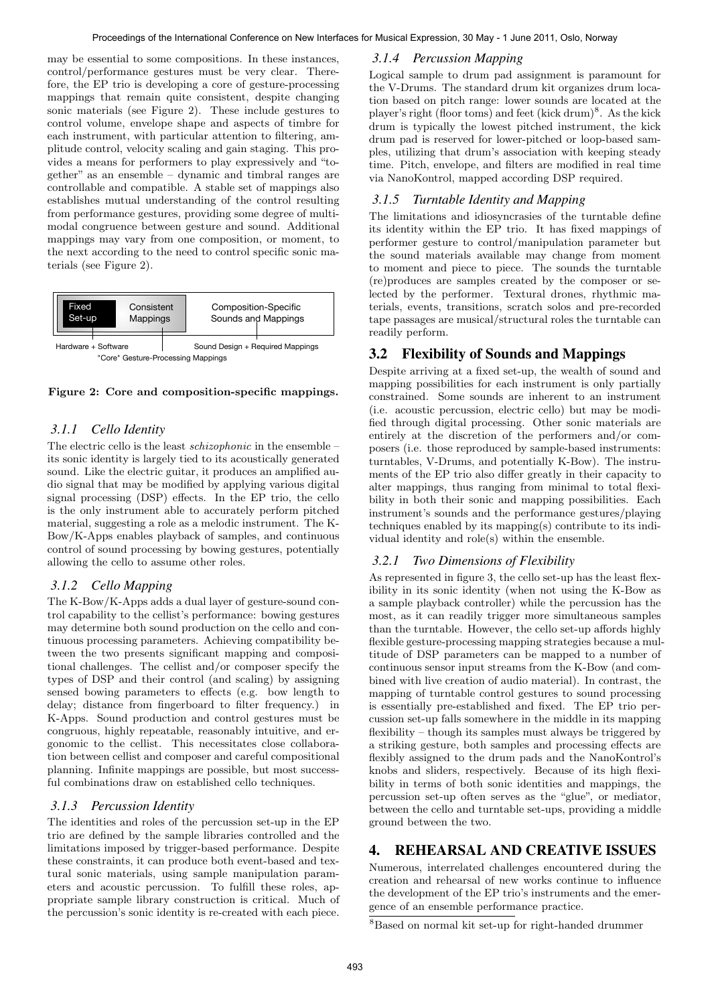may be essential to some compositions. In these instances, control/performance gestures must be very clear. Therefore, the EP trio is developing a core of gesture-processing mappings that remain quite consistent, despite changing sonic materials (see Figure 2). These include gestures to control volume, envelope shape and aspects of timbre for each instrument, with particular attention to filtering, amplitude control, velocity scaling and gain staging. This provides a means for performers to play expressively and "together" as an ensemble – dynamic and timbral ranges are controllable and compatible. A stable set of mappings also establishes mutual understanding of the control resulting from performance gestures, providing some degree of multimodal congruence between gesture and sound. Additional mappings may vary from one composition, or moment, to the next according to the need to control specific sonic materials (see Figure 2).



Figure 2: Core and composition-specific mappings.

# *3.1.1 Cello Identity*

The electric cello is the least *schizophonic* in the ensemble – its sonic identity is largely tied to its acoustically generated sound. Like the electric guitar, it produces an amplified audio signal that may be modified by applying various digital signal processing (DSP) effects. In the EP trio, the cello is the only instrument able to accurately perform pitched material, suggesting a role as a melodic instrument. The K-Bow/K-Apps enables playback of samples, and continuous control of sound processing by bowing gestures, potentially allowing the cello to assume other roles.

## *3.1.2 Cello Mapping*

The K-Bow/K-Apps adds a dual layer of gesture-sound control capability to the cellist's performance: bowing gestures may determine both sound production on the cello and continuous processing parameters. Achieving compatibility between the two presents significant mapping and compositional challenges. The cellist and/or composer specify the types of DSP and their control (and scaling) by assigning sensed bowing parameters to effects (e.g. bow length to delay; distance from fingerboard to filter frequency.) in K-Apps. Sound production and control gestures must be congruous, highly repeatable, reasonably intuitive, and ergonomic to the cellist. This necessitates close collaboration between cellist and composer and careful compositional planning. Infinite mappings are possible, but most successful combinations draw on established cello techniques.

## *3.1.3 Percussion Identity*

The identities and roles of the percussion set-up in the EP trio are defined by the sample libraries controlled and the limitations imposed by trigger-based performance. Despite these constraints, it can produce both event-based and textural sonic materials, using sample manipulation parameters and acoustic percussion. To fulfill these roles, appropriate sample library construction is critical. Much of the percussion's sonic identity is re-created with each piece.

# *3.1.4 Percussion Mapping*

Logical sample to drum pad assignment is paramount for the V-Drums. The standard drum kit organizes drum location based on pitch range: lower sounds are located at the player's right (floor toms) and feet (kick drum)<sup>8</sup>. As the kick drum is typically the lowest pitched instrument, the kick drum pad is reserved for lower-pitched or loop-based samples, utilizing that drum's association with keeping steady time. Pitch, envelope, and filters are modified in real time via NanoKontrol, mapped according DSP required.

## *3.1.5 Turntable Identity and Mapping*

The limitations and idiosyncrasies of the turntable define its identity within the EP trio. It has fixed mappings of performer gesture to control/manipulation parameter but the sound materials available may change from moment to moment and piece to piece. The sounds the turntable (re)produces are samples created by the composer or selected by the performer. Textural drones, rhythmic materials, events, transitions, scratch solos and pre-recorded tape passages are musical/structural roles the turntable can readily perform.

# 3.2 Flexibility of Sounds and Mappings

Despite arriving at a fixed set-up, the wealth of sound and mapping possibilities for each instrument is only partially constrained. Some sounds are inherent to an instrument (i.e. acoustic percussion, electric cello) but may be modified through digital processing. Other sonic materials are entirely at the discretion of the performers and/or composers (i.e. those reproduced by sample-based instruments: turntables, V-Drums, and potentially K-Bow). The instruments of the EP trio also differ greatly in their capacity to alter mappings, thus ranging from minimal to total flexibility in both their sonic and mapping possibilities. Each instrument's sounds and the performance gestures/playing techniques enabled by its mapping(s) contribute to its individual identity and role(s) within the ensemble.

# *3.2.1 Two Dimensions of Flexibility*

As represented in figure 3, the cello set-up has the least flexibility in its sonic identity (when not using the K-Bow as a sample playback controller) while the percussion has the most, as it can readily trigger more simultaneous samples than the turntable. However, the cello set-up affords highly flexible gesture-processing mapping strategies because a multitude of DSP parameters can be mapped to a number of continuous sensor input streams from the K-Bow (and combined with live creation of audio material). In contrast, the mapping of turntable control gestures to sound processing is essentially pre-established and fixed. The EP trio percussion set-up falls somewhere in the middle in its mapping flexibility – though its samples must always be triggered by a striking gesture, both samples and processing effects are flexibly assigned to the drum pads and the NanoKontrol's knobs and sliders, respectively. Because of its high flexibility in terms of both sonic identities and mappings, the percussion set-up often serves as the "glue", or mediator, between the cello and turntable set-ups, providing a middle ground between the two.

# 4. REHEARSAL AND CREATIVE ISSUES

Numerous, interrelated challenges encountered during the creation and rehearsal of new works continue to influence the development of the EP trio's instruments and the emergence of an ensemble performance practice.

<sup>8</sup>Based on normal kit set-up for right-handed drummer